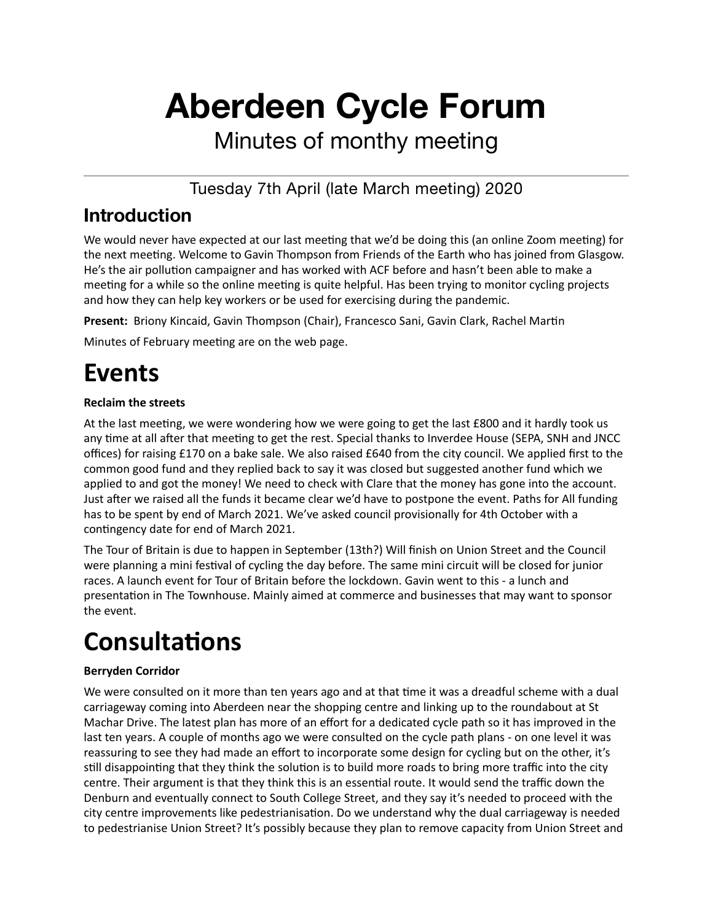# **Aberdeen Cycle Forum**

Minutes of monthy meeting

Tuesday 7th April (late March meeting) 2020

### **Introduction**

We would never have expected at our last meeting that we'd be doing this (an online Zoom meeting) for the next meeting. Welcome to Gavin Thompson from Friends of the Earth who has joined from Glasgow. He's the air pollution campaigner and has worked with ACF before and hasn't been able to make a meeting for a while so the online meeting is quite helpful. Has been trying to monitor cycling projects and how they can help key workers or be used for exercising during the pandemic.

Present: Briony Kincaid, Gavin Thompson (Chair), Francesco Sani, Gavin Clark, Rachel Martin

Minutes of February meeting are on the web page.

### **Events**

#### **Reclaim the streets**

At the last meeting, we were wondering how we were going to get the last £800 and it hardly took us any time at all after that meeting to get the rest. Special thanks to Inverdee House (SEPA, SNH and JNCC offices) for raising £170 on a bake sale. We also raised £640 from the city council. We applied first to the common good fund and they replied back to say it was closed but suggested another fund which we applied to and got the money! We need to check with Clare that the money has gone into the account. Just after we raised all the funds it became clear we'd have to postpone the event. Paths for All funding has to be spent by end of March 2021. We've asked council provisionally for 4th October with a contingency date for end of March 2021.

The Tour of Britain is due to happen in September (13th?) Will finish on Union Street and the Council were planning a mini festival of cycling the day before. The same mini circuit will be closed for junior races. A launch event for Tour of Britain before the lockdown. Gavin went to this - a lunch and presentation in The Townhouse. Mainly aimed at commerce and businesses that may want to sponsor the event.

## **Consultations**

#### **Berryden Corridor**

We were consulted on it more than ten years ago and at that time it was a dreadful scheme with a dual carriageway coming into Aberdeen near the shopping centre and linking up to the roundabout at St Machar Drive. The latest plan has more of an effort for a dedicated cycle path so it has improved in the last ten years. A couple of months ago we were consulted on the cycle path plans - on one level it was reassuring to see they had made an effort to incorporate some design for cycling but on the other, it's still disappointing that they think the solution is to build more roads to bring more traffic into the city centre. Their argument is that they think this is an essential route. It would send the traffic down the Denburn and eventually connect to South College Street, and they say it's needed to proceed with the city centre improvements like pedestrianisation. Do we understand why the dual carriageway is needed to pedestrianise Union Street? It's possibly because they plan to remove capacity from Union Street and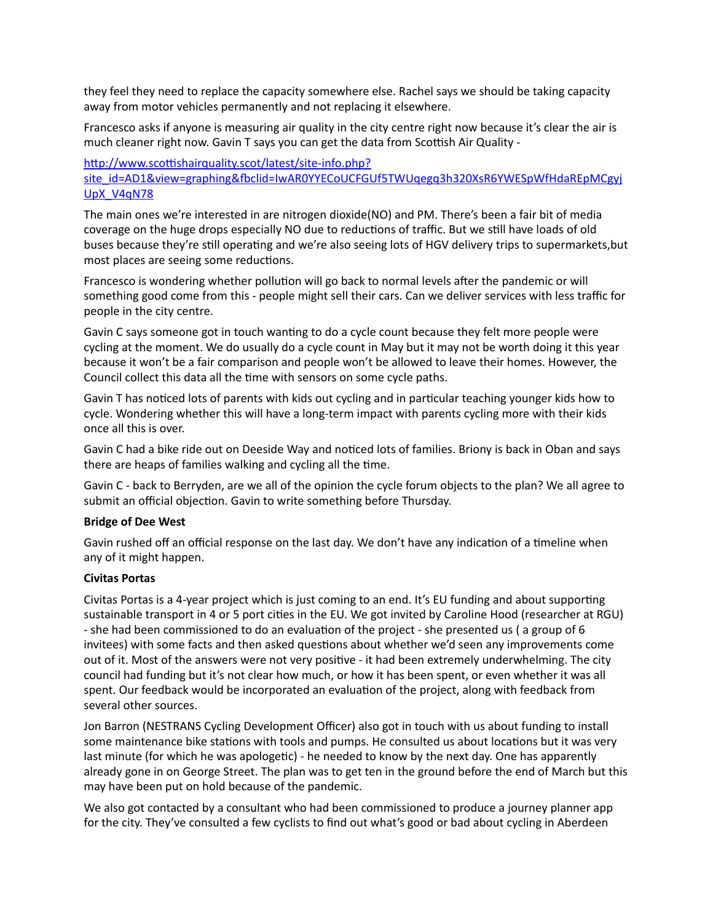they feel they need to replace the capacity somewhere else. Rachel says we should be taking capacity away from motor vehicles permanently and not replacing it elsewhere.

Francesco asks if anyone is measuring air quality in the city centre right now because it's clear the air is much cleaner right now. Gavin T says you can get the data from Scottish Air Quality -

#### http://www.scottishairquality.scot/latest/site-info.php? site\_id=AD1&view=graphing&fbclid=IwAR0YYECoUCFGUf5TWUqegq3h320XsR6YWESpWfHdaREpMCgvi [UpX\\_V4qN78](http://www.scottishairquality.scot/latest/site-info.php?site_id=AD1&view=graphing&fbclid=IwAR0YYECoUCFGUf5TWUqegq3h320XsR6YWESpWfHdaREpMCgyjUpX_V4qN78)

The main ones we're interested in are nitrogen dioxide(NO) and PM. There's been a fair bit of media coverage on the huge drops especially NO due to reductions of traffic. But we still have loads of old buses because they're still operating and we're also seeing lots of HGV delivery trips to supermarkets, but most places are seeing some reductions.

Francesco is wondering whether pollution will go back to normal levels after the pandemic or will something good come from this - people might sell their cars. Can we deliver services with less traffic for people in the city centre.

Gavin C says someone got in touch wanting to do a cycle count because they felt more people were cycling at the moment. We do usually do a cycle count in May but it may not be worth doing it this year because it won't be a fair comparison and people won't be allowed to leave their homes. However, the Council collect this data all the time with sensors on some cycle paths.

Gavin T has noticed lots of parents with kids out cycling and in particular teaching younger kids how to cycle. Wondering whether this will have a long-term impact with parents cycling more with their kids once all this is over.

Gavin C had a bike ride out on Deeside Way and noticed lots of families. Briony is back in Oban and says there are heaps of families walking and cycling all the time.

Gavin C - back to Berryden, are we all of the opinion the cycle forum objects to the plan? We all agree to submit an official objection. Gavin to write something before Thursday.

#### **Bridge of Dee West**

Gavin rushed off an official response on the last day. We don't have any indication of a timeline when any of it might happen.

#### **Civitas Portas**

Civitas Portas is a 4-year project which is just coming to an end. It's EU funding and about supporting sustainable transport in 4 or 5 port cities in the EU. We got invited by Caroline Hood (researcher at RGU) - she had been commissioned to do an evaluation of the project - she presented us (a group of 6 invitees) with some facts and then asked questions about whether we'd seen any improvements come out of it. Most of the answers were not very positive - it had been extremely underwhelming. The city council had funding but it's not clear how much, or how it has been spent, or even whether it was all spent. Our feedback would be incorporated an evaluation of the project, along with feedback from several other sources.

Jon Barron (NESTRANS Cycling Development Officer) also got in touch with us about funding to install some maintenance bike stations with tools and pumps. He consulted us about locations but it was very last minute (for which he was apologetic) - he needed to know by the next day. One has apparently already gone in on George Street. The plan was to get ten in the ground before the end of March but this may have been put on hold because of the pandemic.

We also got contacted by a consultant who had been commissioned to produce a journey planner app for the city. They've consulted a few cyclists to find out what's good or bad about cycling in Aberdeen